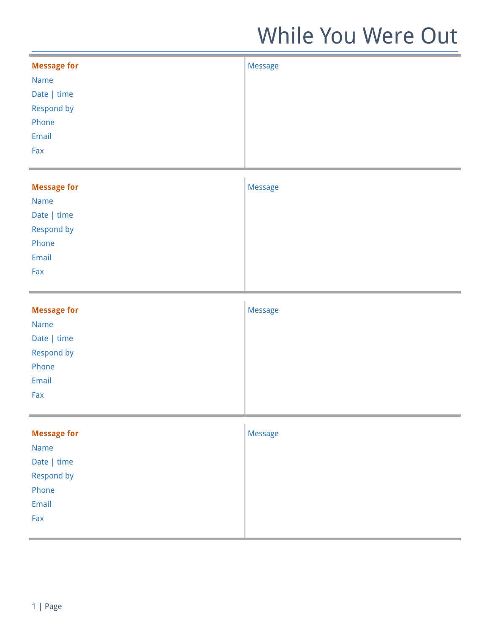| <b>Message for</b> | <b>Message</b> |
|--------------------|----------------|
| Name               |                |
| Date   time        |                |
| Respond by         |                |
| Phone              |                |
| Email              |                |
| Fax                |                |
|                    |                |
| <b>Message for</b> | Message        |
| <b>Name</b>        |                |
| Date   time        |                |
| Respond by         |                |
| Phone              |                |
| Email              |                |
| Fax                |                |
|                    |                |
|                    |                |
| <b>Message for</b> | Message        |
| Name               |                |
| Date   time        |                |
| Respond by         |                |
| Phone              |                |
| Email              |                |
| Fax                |                |
|                    |                |
| <b>Message for</b> | Message        |
| Name               |                |
| Date   time        |                |
| Respond by         |                |
| Phone              |                |
| Email              |                |
| Fax                |                |
|                    |                |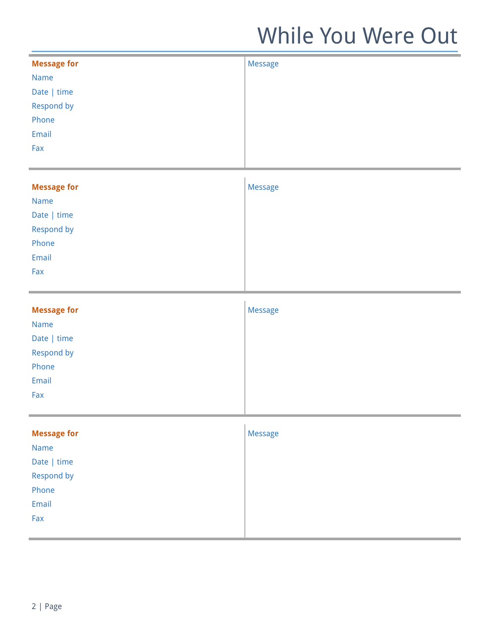| <b>Message for</b> | Message |
|--------------------|---------|
| Name               |         |
| Date   time        |         |
| Respond by         |         |
| Phone              |         |
| Email              |         |
| Fax                |         |
|                    |         |
| <b>Message for</b> | Message |
| Name               |         |
| Date   time        |         |
| Respond by         |         |
| Phone              |         |
| Email              |         |
| Fax                |         |
|                    |         |
|                    |         |
| <b>Message for</b> | Message |
| <b>Name</b>        |         |
| Date   time        |         |
| Respond by         |         |
| Phone              |         |
| Email              |         |
| Fax                |         |
|                    |         |
| <b>Message for</b> | Message |
| Name               |         |
| Date   time        |         |
| Respond by         |         |
| Phone              |         |
| Email              |         |
| Fax                |         |
|                    |         |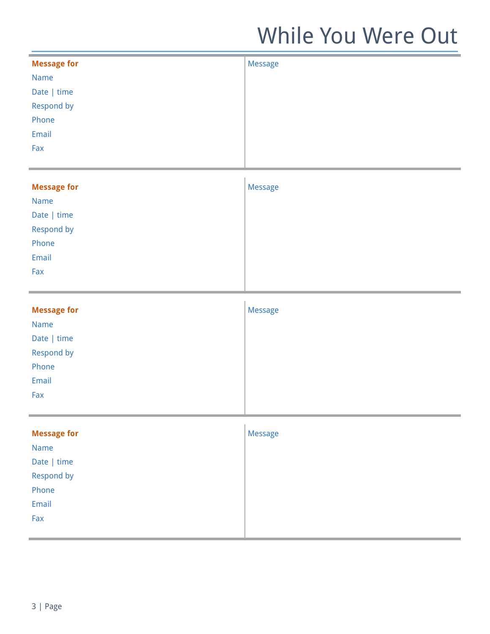| <b>Message for</b> | Message |
|--------------------|---------|
| Name               |         |
| Date   time        |         |
| Respond by         |         |
| Phone              |         |
| Email              |         |
| Fax                |         |
|                    |         |
| <b>Message for</b> | Message |
| Name               |         |
| Date   time        |         |
| Respond by         |         |
| Phone              |         |
| Email              |         |
| Fax                |         |
|                    |         |
|                    |         |
| <b>Message for</b> | Message |
| <b>Name</b>        |         |
| Date   time        |         |
| Respond by         |         |
| Phone              |         |
| Email              |         |
| Fax                |         |
|                    |         |
| <b>Message for</b> | Message |
| Name               |         |
| Date   time        |         |
| Respond by         |         |
| Phone              |         |
| Email              |         |
| Fax                |         |
|                    |         |